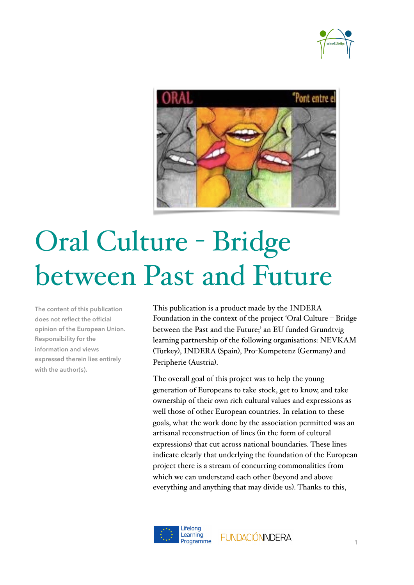



# Oral Culture - Bridge between Past and Future

**The content of this publication does not reflect the official opinion of the European Union. Responsibility for the information and views expressed therein lies entirely with the author(s).** 

This publication is a product made by the INDERA Foundation in the context of the project 'Oral Culture – Bridge between the Past and the Future;' an EU funded Grundtvig learning partnership of the following organisations: NEVKAM (Turkey), INDERA (Spain), Pro-Kompetenz (Germany) and Peripherie (Austria).

The overall goal of this project was to help the young generation of Europeans to take stock, get to know, and take ownership of their own rich cultural values and expressions as well those of other European countries. In relation to these goals, what the work done by the association permitted was an artisanal reconstruction of lines (in the form of cultural expressions) that cut across national boundaries. These lines indicate clearly that underlying the foundation of the European project there is a stream of concurring commonalities from which we can understand each other (beyond and above everything and anything that may divide us). Thanks to this,

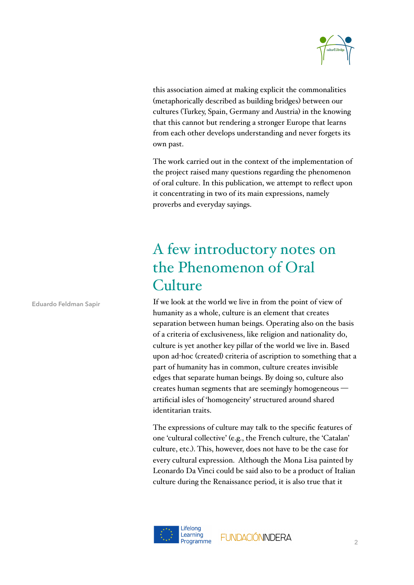

this association aimed at making explicit the commonalities (metaphorically described as building bridges) between our cultures (Turkey, Spain, Germany and Austria) in the knowing that this cannot but rendering a stronger Europe that learns from each other develops understanding and never forgets its own past.

The work carried out in the context of the implementation of the project raised many questions regarding the phenomenon of oral culture. In this publication, we attempt to reflect upon it concentrating in two of its main expressions, namely proverbs and everyday sayings.

### A few introductory notes on the Phenomenon of Oral **Culture**

If we look at the world we live in from the point of view of humanity as a whole, culture is an element that creates separation between human beings. Operating also on the basis of a criteria of exclusiveness, like religion and nationality do, culture is yet another key pillar of the world we live in. Based upon ad-hoc (created) criteria of ascription to something that a part of humanity has in common, culture creates invisible edges that separate human beings. By doing so, culture also creates human segments that are seemingly homogeneous artificial isles of 'homogeneity' structured around shared identitarian traits.

The expressions of culture may talk to the specific features of one 'cultural collective' (e.g., the French culture, the 'Catalan' culture, etc.). This, however, does not have to be the case for every cultural expression. Although the Mona Lisa painted by Leonardo Da Vinci could be said also to be a product of Italian culture during the Renaissance period, it is also true that it



**Eduardo Feldman Sapir**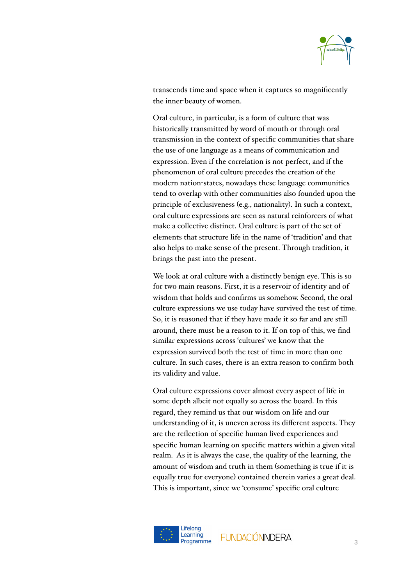

transcends time and space when it captures so magnificently the inner-beauty of women.

Oral culture, in particular, is a form of culture that was historically transmitted by word of mouth or through oral transmission in the context of specific communities that share the use of one language as a means of communication and expression. Even if the correlation is not perfect, and if the phenomenon of oral culture precedes the creation of the modern nation-states, nowadays these language communities tend to overlap with other communities also founded upon the principle of exclusiveness (e.g., nationality). In such a context, oral culture expressions are seen as natural reinforcers of what make a collective distinct. Oral culture is part of the set of elements that structure life in the name of 'tradition' and that also helps to make sense of the present. Through tradition, it brings the past into the present.

We look at oral culture with a distinctly benign eye. This is so for two main reasons. First, it is a reservoir of identity and of wisdom that holds and confirms us somehow. Second, the oral culture expressions we use today have survived the test of time. So, it is reasoned that if they have made it so far and are still around, there must be a reason to it. If on top of this, we find similar expressions across 'cultures' we know that the expression survived both the test of time in more than one culture. In such cases, there is an extra reason to confirm both its validity and value.

Oral culture expressions cover almost every aspect of life in some depth albeit not equally so across the board. In this regard, they remind us that our wisdom on life and our understanding of it, is uneven across its different aspects. They are the reflection of specific human lived experiences and specific human learning on specific matters within a given vital realm. As it is always the case, the quality of the learning, the amount of wisdom and truth in them (something is true if it is equally true for everyone) contained therein varies a great deal. This is important, since we 'consume' specific oral culture

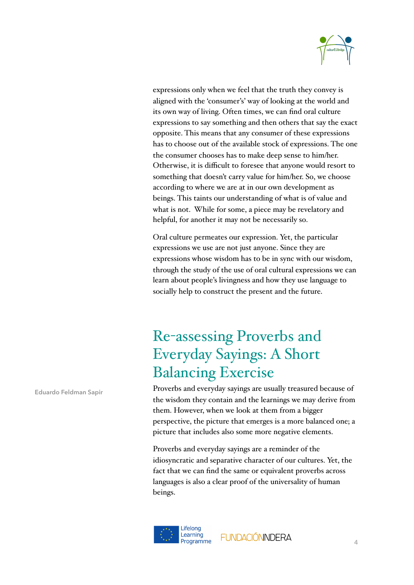

expressions only when we feel that the truth they convey is aligned with the 'consumer's' way of looking at the world and its own way of living. Often times, we can find oral culture expressions to say something and then others that say the exact opposite. This means that any consumer of these expressions has to choose out of the available stock of expressions. The one the consumer chooses has to make deep sense to him/her. Otherwise, it is difficult to foresee that anyone would resort to something that doesn't carry value for him/her. So, we choose according to where we are at in our own development as beings. This taints our understanding of what is of value and what is not. While for some, a piece may be revelatory and helpful, for another it may not be necessarily so.

Oral culture permeates our expression. Yet, the particular expressions we use are not just anyone. Since they are expressions whose wisdom has to be in sync with our wisdom, through the study of the use of oral cultural expressions we can learn about people's livingness and how they use language to socially help to construct the present and the future.

### Re-assessing Proverbs and Everyday Sayings: A Short Balancing Exercise

Proverbs and everyday sayings are usually treasured because of the wisdom they contain and the learnings we may derive from them. However, when we look at them from a bigger perspective, the picture that emerges is a more balanced one; a picture that includes also some more negative elements.

Proverbs and everyday sayings are a reminder of the idiosyncratic and separative character of our cultures. Yet, the fact that we can find the same or equivalent proverbs across languages is also a clear proof of the universality of human beings.



**Eduardo Feldman Sapir**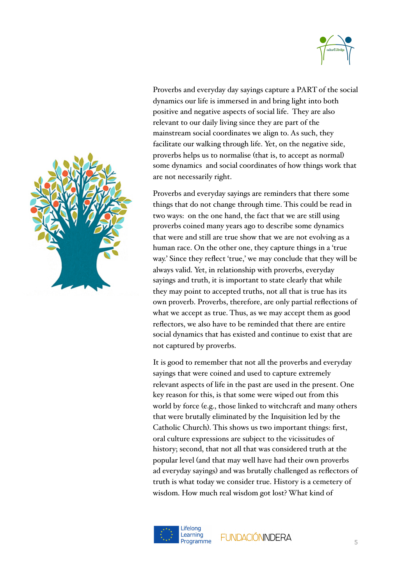

Proverbs and everyday day sayings capture a PART of the social dynamics our life is immersed in and bring light into both positive and negative aspects of social life. They are also relevant to our daily living since they are part of the mainstream social coordinates we align to. As such, they facilitate our walking through life. Yet, on the negative side, proverbs helps us to normalise (that is, to accept as normal) some dynamics and social coordinates of how things work that are not necessarily right.

Proverbs and everyday sayings are reminders that there some things that do not change through time. This could be read in two ways: on the one hand, the fact that we are still using proverbs coined many years ago to describe some dynamics that were and still are true show that we are not evolving as a human race. On the other one, they capture things in a 'true way.' Since they reflect 'true,' we may conclude that they will be always valid. Yet, in relationship with proverbs, everyday sayings and truth, it is important to state clearly that while they may point to accepted truths, not all that is true has its own proverb. Proverbs, therefore, are only partial reflections of what we accept as true. Thus, as we may accept them as good reflectors, we also have to be reminded that there are entire social dynamics that has existed and continue to exist that are not captured by proverbs.

It is good to remember that not all the proverbs and everyday sayings that were coined and used to capture extremely relevant aspects of life in the past are used in the present. One key reason for this, is that some were wiped out from this world by force (e.g., those linked to witchcraft and many others that were brutally eliminated by the Inquisition led by the Catholic Church). This shows us two important things: first, oral culture expressions are subject to the vicissitudes of history; second, that not all that was considered truth at the popular level (and that may well have had their own proverbs ad everyday sayings) and was brutally challenged as reflectors of truth is what today we consider true. History is a cemetery of wisdom. How much real wisdom got lost? What kind of



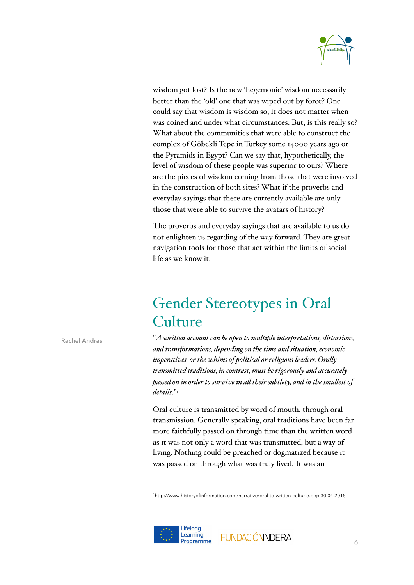

wisdom got lost? Is the new 'hegemonic' wisdom necessarily better than the 'old' one that was wiped out by force? One could say that wisdom is wisdom so, it does not matter when was coined and under what circumstances. But, is this really so? What about the communities that were able to construct the complex of Göbekli Tepe in Turkey some 14000 years ago or the Pyramids in Egypt? Can we say that, hypothetically, the level of wisdom of these people was superior to ours? Where are the pieces of wisdom coming from those that were involved in the construction of both sites? What if the proverbs and everyday sayings that there are currently available are only those that were able to survive the avatars of history?

The proverbs and everyday sayings that are available to us do not enlighten us regarding of the way forward. They are great navigation tools for those that act within the limits of social life as we know it.

### Gender Stereotypes in Oral **Culture**

"*A written account can be open to multiple interpretations, distortions, and transformations, depending on the time and situation, economic imperatives, or the whims of political or religious leaders. Oraly transmitted traditions, in contrast, must be rigorously and accurately passed on in order to survive in al their subtlety, and in the smalest of details*.["1](#page-5-0)

<span id="page-5-1"></span>Oral culture is transmitted by word of mouth, through oral transmission. Generally speaking, oral traditions have been far more faithfully passed on through time than the written word as it was not only a word that was transmitted, but a way of living. Nothing could be preached or dogmatized because it was passed on through what was truly lived. It was an

<span id="page-5-0"></span>[<sup>1</sup>](#page-5-1)[http://www.historyofinformation.com/narrative/oral-to-written-cultur e.php](http://www.historyofinformation.com/narrative/oral-to-written-cultur%20e.php) 30.04.2015





**Rachel Andras**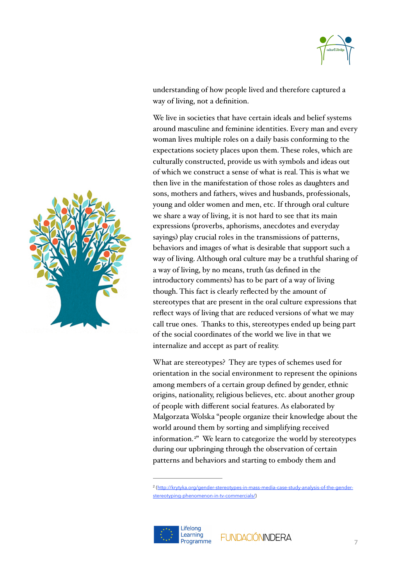

understanding of how people lived and therefore captured a way of living, not a definition.

We live in societies that have certain ideals and belief systems around masculine and feminine identities. Every man and every woman lives multiple roles on a daily basis conforming to the expectations society places upon them. These roles, which are culturally constructed, provide us with symbols and ideas out of which we construct a sense of what is real. This is what we then live in the manifestation of those roles as daughters and sons, mothers and fathers, wives and husbands, professionals, young and older women and men, etc. If through oral culture we share a way of living, it is not hard to see that its main expressions (proverbs, aphorisms, anecdotes and everyday sayings) play crucial roles in the transmissions of patterns, behaviors and images of what is desirable that support such a way of living. Although oral culture may be a truthful sharing of a way of living, by no means, truth (as defined in the introductory comments) has to be part of a way of living though. This fact is clearly reflected by the amount of stereotypes that are present in the oral culture expressions that reflect ways of living that are reduced versions of what we may call true ones. Thanks to this, stereotypes ended up being part of the social coordinates of the world we live in that we internalize and accept as part of reality.

What are stereotypes? They are types of schemes used for orientation in the social environment to represent the opinions among members of a certain group defined by gender, ethnic origins, nationality, religious believes, etc. about another group of people with different social features. As elaborated by [Malgorzata Wolska](http://krytyka.org/author/malgorzata-wolska/%22%20%5Co%20%22Malgorzata%20Wolska) "people organize their knowledge about the world around them by sorting and simplifying received information.<sup>2["](#page-6-0)</sup> We learn to categorize the world by stereotypes during our upbringing through the observation of certain patterns and behaviors and starting to embody them and

<span id="page-6-1"></span><span id="page-6-0"></span><sup>[2](#page-6-1)</sup> (http://krytyka.org/gender-stereotypes-in-mass-media-case-study-analysis-of-the-genderstereotyping-phenomenon-in-tv-commercials/)





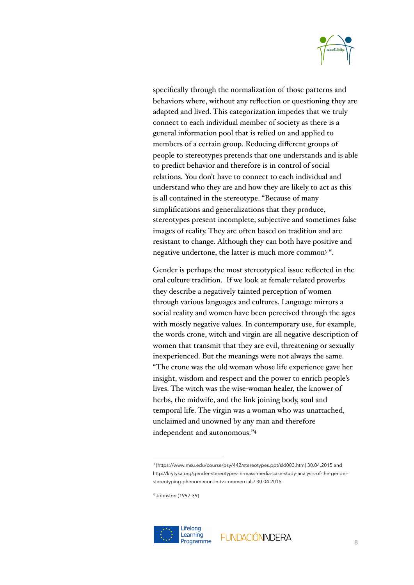

specifically through the normalization of those patterns and behaviors where, without any reflection or questioning they are adapted and lived. This categorization impedes that we truly connect to each individual member of society as there is a general information pool that is relied on and applied to members of a certain group. Reducing different groups of people to stereotypes pretends that one understands and is able to predict behavior and therefore is in control of social relations. You don't have to connect to each individual and understand who they are and how they are likely to act as this is all contained in the stereotype. "Because of many simplifications and generalizations that they produce, stereotypes present incomplete, subjective and sometimes false images of reality. They are often based on tradition and are resistant to change. Although they can both have positive and [n](#page-7-0)egative undertone, the latter is much more common<sup>3</sup>".

<span id="page-7-2"></span>Gender is perhaps the most stereotypical issue reflected in the oral culture tradition. If we look at female-related proverbs they describe a negatively tainted perception of women through various languages and cultures. Language mirrors a social reality and women have been perceived through the ages with mostly negative values. In contemporary use, for example, the words crone, witch and virgin are all negative description of women that transmit that they are evil, threatening or sexually inexperienced. But the meanings were not always the same. "The crone was the old woman whose life experience gave her insight, wisdom and respect and the power to enrich people's lives. The witch was the wise-woman healer, the knower of herbs, the midwife, and the link joining body, soul and temporal life. The virgin was a woman who was unattached, unclaimed and unowned by any man and therefore independent and autonomous.["4](#page-7-1)

<span id="page-7-1"></span>[<sup>4</sup>](#page-7-3) Johnston (1997:39)





<span id="page-7-3"></span><span id="page-7-0"></span> <sup>(</sup>https://www.msu.edu/course/psy/442/stereotypes.ppt/sld003.htm) 30.04.2015 and [3](#page-7-2) [http://krytyka.org/gender-stereotypes-in-mass-media-case-study-analysis-of-the-gender](http://krytyka.org/gender-stereotypes-in-mass-media-case-study-analysis-of-the-gender-st)[stereotyping-phenomenon-in-tv-commercials/](http://krytyka.org/gender-stereotypes-in-mass-media-case-study-analysis-of-the-gender-st) 30.04.2015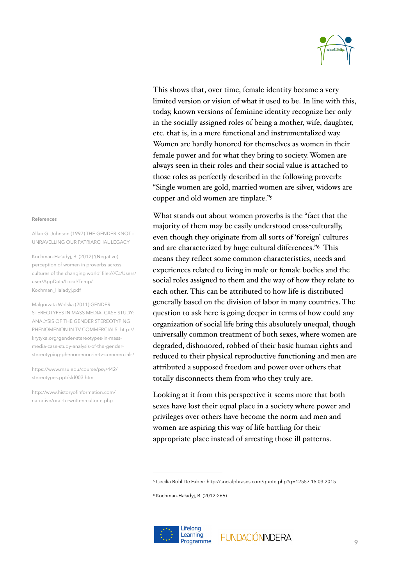

This shows that, over time, female identity became a very limited version or vision of what it used to be. In line with this, today, known versions of feminine identity recognize her only in the socially assigned roles of being a mother, wife, daughter, etc. that is, in a mere functional and instrumentalized way. Women are hardly honored for themselves as women in their female power and for what they bring to society. Women are always seen in their roles and their social value is attached to those roles as perfectly described in the following proverb: "Single women are gold, married women are silver, widows are copper and old women are tinplate.["5](#page-8-0)

<span id="page-8-3"></span><span id="page-8-2"></span>What stands out about women proverbs is the "fact that the majority of them may be easily understood cross-culturally, even though they originate from all sorts of 'foreign' cultures and are characterized by huge cultural differences.["](#page-8-1)<sup>[6](#page-8-1)</sup> This means they reflect some common characteristics, needs and experiences related to living in male or female bodies and the social roles assigned to them and the way of how they relate to each other. This can be attributed to how life is distributed generally based on the division of labor in many countries. The question to ask here is going deeper in terms of how could any organization of social life bring this absolutely unequal, though universally common treatment of both sexes, where women are degraded, dishonored, robbed of their basic human rights and reduced to their physical reproductive functioning and men are attributed a supposed freedom and power over others that totally disconnects them from who they truly are.

Looking at it from this perspective it seems more that both sexes have lost their equal place in a society where power and privileges over others have become the norm and men and women are aspiring this way of life battling for their appropriate place instead of arresting those ill patterns.

<span id="page-8-1"></span>Kochman-Haładyj, B. (2012:266) [6](#page-8-3)





#### **References**

Allan G. Johnson (1997) THE GENDER KNOT – UNRAVELLING OUR PATRIARCHAL LEGACY

Kochman-Haładyj, B. (2012) '(Negative) perception of women in proverbs across cultures of the changing world' file:///C:/Users/ user/AppData/Local/Temp/ Kochman\_Haladyj.pdf

Malgorzata Wolska (2011) GENDER STEREOTYPES IN MASS MEDIA. CASE STUDY: ANALYSIS OF THE GENDER STEREOTYPING PHENOMENON IN TV COMMERCIALS: http:// krytyka.org/gender-stereotypes-in-massmedia-case-study-analysis-of-the-genderstereotyping-phenomenon-in-tv-commercials/

https://www.msu.edu/course/psy/442/ stereotypes.ppt/sld003.htm

http://www.historyofinformation.com/ narrative/oral-to-written-cultur e.php

<span id="page-8-0"></span>[<sup>5</sup>](#page-8-2) Cecilia Bohl De Faber:<http://socialphrases.com/quote.php?q=12557> 15.03.2015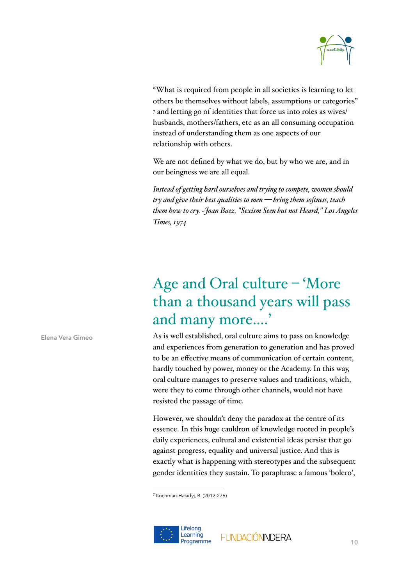

<span id="page-9-1"></span>"What is required from people in all societies is learning to let others be themselves without labels, assumptions or categories" and letting go of identities that force us into roles as wives/ [7](#page-9-0) husbands, mothers/fathers, etc as an all consuming occupation instead of understanding them as one aspects of our relationship with others.

We are not defined by what we do, but by who we are, and in our beingness we are all equal.

*Instead of getting hard ourselves and trying to compete, women should try and give their best qualities to men — bring them sofness, teach them how to cry. ~Joan Baez, "Sexism Seen but not Heard," Los Angeles Times, 1974*

## Age and Oral culture – 'More than a thousand years will pass and many more….'

As is well established, oral culture aims to pass on knowledge and experiences from generation to generation and has proved to be an effective means of communication of certain content, hardly touched by power, money or the Academy. In this way, oral culture manages to preserve values and traditions, which, were they to come through other channels, would not have resisted the passage of time.

However, we shouldn't deny the paradox at the centre of its essence. In this huge cauldron of knowledge rooted in people's daily experiences, cultural and existential ideas persist that go against progress, equality and universal justice. And this is exactly what is happening with stereotypes and the subsequent gender identities they sustain. To paraphrase a famous 'bolero',

<span id="page-9-0"></span>Kochman-Haładyj, B. (2012:276) [7](#page-9-1)



**Elena Vera Gimeo**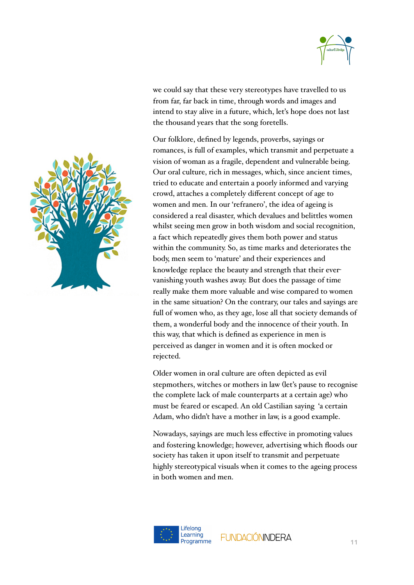

we could say that these very stereotypes have travelled to us from far, far back in time, through words and images and intend to stay alive in a future, which, let's hope does not last the thousand years that the song foretells.

Our folklore, defined by legends, proverbs, sayings or romances, is full of examples, which transmit and perpetuate a vision of woman as a fragile, dependent and vulnerable being. Our oral culture, rich in messages, which, since ancient times, tried to educate and entertain a poorly informed and varying crowd, attaches a completely different concept of age to women and men. In our 'refranero', the idea of ageing is considered a real disaster, which devalues and belittles women whilst seeing men grow in both wisdom and social recognition, a fact which repeatedly gives them both power and status within the community. So, as time marks and deteriorates the body, men seem to 'mature' and their experiences and knowledge replace the beauty and strength that their evervanishing youth washes away. But does the passage of time really make them more valuable and wise compared to women in the same situation? On the contrary, our tales and sayings are full of women who, as they age, lose all that society demands of them, a wonderful body and the innocence of their youth. In this way, that which is defined as experience in men is perceived as danger in women and it is often mocked or rejected.

Older women in oral culture are often depicted as evil stepmothers, witches or mothers in law (let's pause to recognise the complete lack of male counterparts at a certain age) who must be feared or escaped. An old Castilian saying 'a certain Adam, who didn't have a mother in law, is a good example.

Nowadays, sayings are much less effective in promoting values and fostering knowledge; however, advertising which floods our society has taken it upon itself to transmit and perpetuate highly stereotypical visuals when it comes to the ageing process in both women and men.



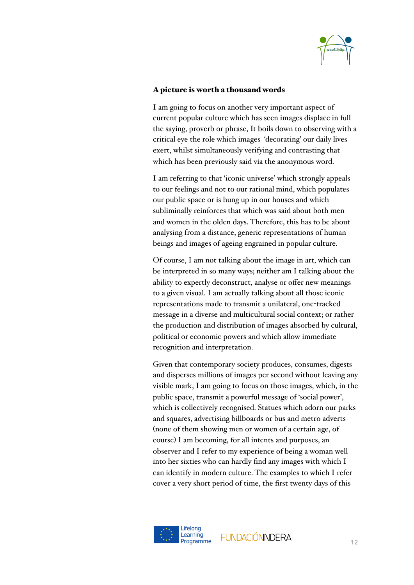

### A picture is worth a thousand words

I am going to focus on another very important aspect of current popular culture which has seen images displace in full the saying, proverb or phrase, It boils down to observing with a critical eye the role which images 'decorating' our daily lives exert, whilst simultaneously verifying and contrasting that which has been previously said via the anonymous word.

I am referring to that 'iconic universe' which strongly appeals to our feelings and not to our rational mind, which populates our public space or is hung up in our houses and which subliminally reinforces that which was said about both men and women in the olden days. Therefore, this has to be about analysing from a distance, generic representations of human beings and images of ageing engrained in popular culture.

Of course, I am not talking about the image in art, which can be interpreted in so many ways; neither am I talking about the ability to expertly deconstruct, analyse or offer new meanings to a given visual. I am actually talking about all those iconic representations made to transmit a unilateral, one-tracked message in a diverse and multicultural social context; or rather the production and distribution of images absorbed by cultural, political or economic powers and which allow immediate recognition and interpretation.

Given that contemporary society produces, consumes, digests and disperses millions of images per second without leaving any visible mark, I am going to focus on those images, which, in the public space, transmit a powerful message of 'social power', which is collectively recognised. Statues which adorn our parks and squares, advertising billboards or bus and metro adverts (none of them showing men or women of a certain age, of course) I am becoming, for all intents and purposes, an observer and I refer to my experience of being a woman well into her sixties who can hardly find any images with which I can identify in modern culture. The examples to which I refer cover a very short period of time, the first twenty days of this

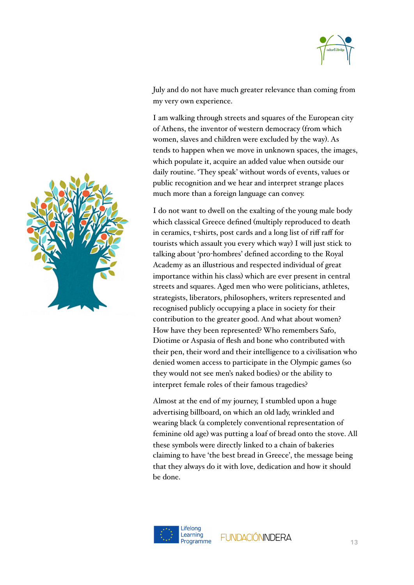

July and do not have much greater relevance than coming from my very own experience.

I am walking through streets and squares of the European city of Athens, the inventor of western democracy (from which women, slaves and children were excluded by the way). As tends to happen when we move in unknown spaces, the images, which populate it, acquire an added value when outside our daily routine. 'They speak' without words of events, values or public recognition and we hear and interpret strange places much more than a foreign language can convey.

I do not want to dwell on the exalting of the young male body which classical Greece defined (multiply reproduced to death in ceramics, t-shirts, post cards and a long list of riff raff for tourists which assault you every which way) I will just stick to talking about 'pro-hombres' defined according to the Royal Academy as an illustrious and respected individual of great importance within his class) which are ever present in central streets and squares. Aged men who were politicians, athletes, strategists, liberators, philosophers, writers represented and recognised publicly occupying a place in society for their contribution to the greater good. And what about women? How have they been represented? Who remembers Safo, Diotime or Aspasia of flesh and bone who contributed with their pen, their word and their intelligence to a civilisation who denied women access to participate in the Olympic games (so they would not see men's naked bodies) or the ability to interpret female roles of their famous tragedies?

Almost at the end of my journey, I stumbled upon a huge advertising billboard, on which an old lady, wrinkled and wearing black (a completely conventional representation of feminine old age) was putting a loaf of bread onto the stove. All these symbols were directly linked to a chain of bakeries claiming to have 'the best bread in Greece', the message being that they always do it with love, dedication and how it should be done.



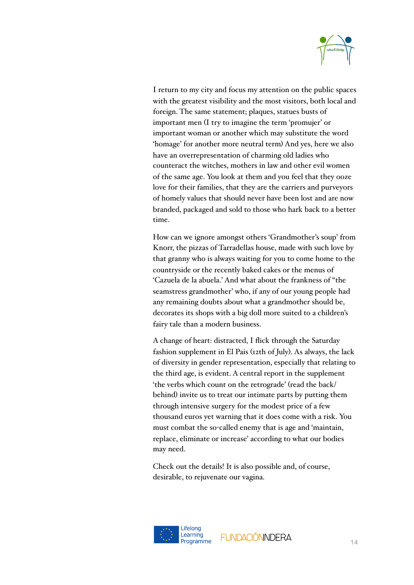

I return to my city and focus my attention on the public spaces with the greatest visibility and the most visitors, both local and foreign. The same statement; plaques, statues busts of important men (I try to imagine the term 'promujer' or important woman or another which may substitute the word 'homage' for another more neutral term) And yes, here we also have an overrepresentation of charming old ladies who counteract the witches, mothers in law and other evil women of the same age. You look at them and you feel that they ooze love for their families, that they are the carriers and purveyors of homely values that should never have been lost and are now branded, packaged and sold to those who hark back to a better time.

How can we ignore amongst others 'Grandmother's soup' from Knorr, the pizzas of Tarradellas house, made with such love by that granny who is always waiting for you to come home to the countryside or the recently baked cakes or the menus of 'Cazuela de la abuela.' And what about the frankness of "the seamstress grandmother' who, if any of our young people had any remaining doubts about what a grandmother should be, decorates its shops with a big doll more suited to a children's fairy tale than a modern business.

A change of heart: distracted, I flick through the Saturday fashion supplement in El Pais (12th of July). As always, the lack of diversity in gender representation, especially that relating to the third age, is evident. A central report in the supplement 'the verbs which count on the retrograde' (read the back/ behind) invite us to treat our intimate parts by putting them through intensive surgery for the modest price of a few thousand euros yet warning that it does come with a risk. You must combat the so-called enemy that is age and 'maintain, replace, eliminate or increase' according to what our bodies may need.

Check out the details! It is also possible and, of course, desirable, to rejuvenate our vagina.

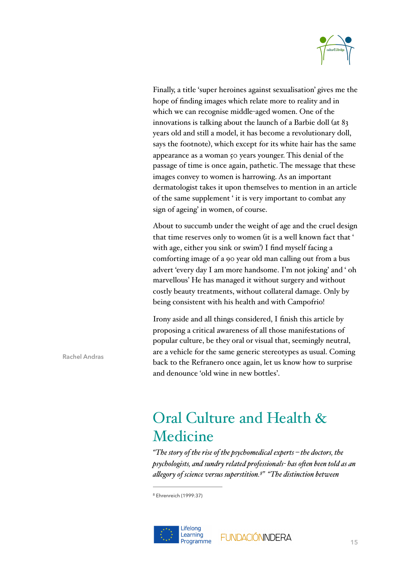

Finally, a title 'super heroines against sexualisation' gives me the hope of finding images which relate more to reality and in which we can recognise middle-aged women. One of the innovations is talking about the launch of a Barbie doll (at 83 years old and still a model, it has become a revolutionary doll, says the footnote), which except for its white hair has the same appearance as a woman 50 years younger. This denial of the passage of time is once again, pathetic. The message that these images convey to women is harrowing. As an important dermatologist takes it upon themselves to mention in an article of the same supplement ' it is very important to combat any sign of ageing' in women, of course.

About to succumb under the weight of age and the cruel design that time reserves only to women (it is a well known fact that ' with age, either you sink or swim') I find myself facing a comforting image of a 90 year old man calling out from a bus advert 'every day I am more handsome. I'm not joking' and ' oh marvellous' He has managed it without surgery and without costly beauty treatments, without collateral damage. Only by being consistent with his health and with Campofrio!

Irony aside and all things considered, I finish this article by proposing a critical awareness of all those manifestations of popular culture, be they oral or visual that, seemingly neutral, are a vehicle for the same generic stereotypes as usual. Coming back to the Refranero once again, let us know how to surprise and denounce 'old wine in new bottles'.

### Oral Culture and Health & Medicine

*"The story of the rise of the psychomedical experts – the doctors, the psychologists, and sundry related professionals- has ofen been told as an alegory of science versus superstition. " "The distinction between [8](#page-14-0)*

<span id="page-14-0"></span>Ehrenreich (1999:37) [8](#page-14-1)



<span id="page-14-1"></span>

**Rachel Andras**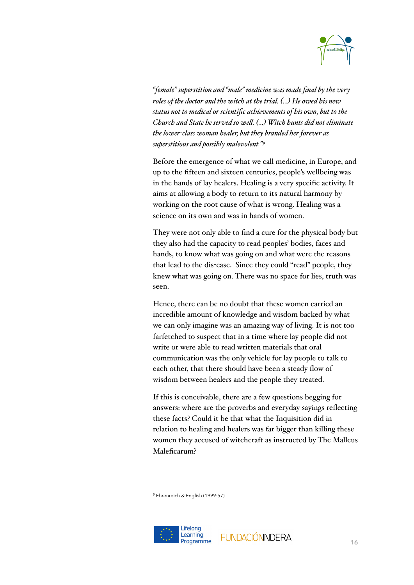

*"female" superstition and "male" medicine was made final by the very roles of the doctor and the witch at the trial. (…) He owed his new status not to medical or scientific achievements of his own, but to the Church and State he served so wel. (…) Witch hunts did not eliminate the lower-class woman healer, but they branded her forever as superstitious and possibly malevolent."[9](#page-15-0)*

<span id="page-15-1"></span>Before the emergence of what we call medicine, in Europe, and up to the fifteen and sixteen centuries, people's wellbeing was in the hands of lay healers. Healing is a very specific activity. It aims at allowing a body to return to its natural harmony by working on the root cause of what is wrong. Healing was a science on its own and was in hands of women.

They were not only able to find a cure for the physical body but they also had the capacity to read peoples' bodies, faces and hands, to know what was going on and what were the reasons that lead to the dis-ease. Since they could "read" people, they knew what was going on. There was no space for lies, truth was seen.

Hence, there can be no doubt that these women carried an incredible amount of knowledge and wisdom backed by what we can only imagine was an amazing way of living. It is not too farfetched to suspect that in a time where lay people did not write or were able to read written materials that oral communication was the only vehicle for lay people to talk to each other, that there should have been a steady flow of wisdom between healers and the people they treated.

If this is conceivable, there are a few questions begging for answers: where are the proverbs and everyday sayings reflecting these facts? Could it be that what the Inquisition did in relation to healing and healers was far bigger than killing these women they accused of witchcraft as instructed by The Malleus Maleficarum?

<span id="page-15-0"></span>Ehrenreich & English (1999:57) [9](#page-15-1)